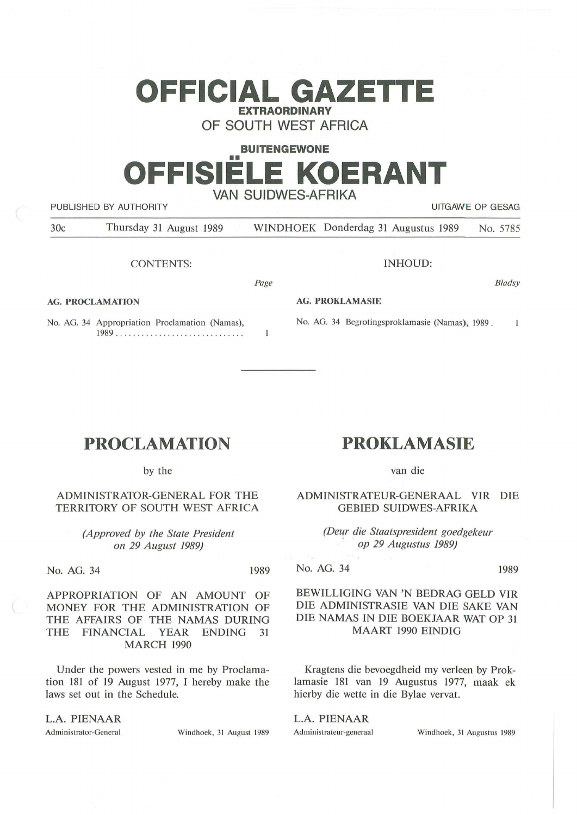# **OFFICIAL GAZETTE EXTRAORDINARY**

**OF SOUTH WEST AFRICA** 

## **BUITENGEWONE**  •• **OFFISIELE KOERANT VAN SUIDWES-AFRIKA**  PUBLISHED BY AUTHORITY THE STATE OF THE COLLECTION OF THE CONTRACT OF GEORGE

| PUBLISHED BY AUTHURITY<br>UITUANE UP ULSAU |                         |                                                 |  |  |
|--------------------------------------------|-------------------------|-------------------------------------------------|--|--|
| 30c                                        | Thursday 31 August 1989 | WINDHOEK Donderdag 31 Augustus 1989<br>No. 5785 |  |  |
|                                            | <b>CONTENTS:</b>        | INHOUD:                                         |  |  |

*Page* 

 $\mathbf{1}$ 

**AG. PROCLAMATION** 

No. AG. 34 Appropriation Proclamation (Namas), 1989 ... . .............. . .. . . ... ... .

**AG. PROKLAMASIE** 

No. AG. 34 Begrotingsproklamasie (Namas), 1989.

## **PROCLAMATION**

by the

#### ADMINISTRATOR-GENERAL FOR THE TERRITORY OF SOUTH WEST AFRICA

*(Approved by the State President on 29 August 1989)* 

No. AG. 34 1989

APPROPRIATION OF AN AMOUNT OF MONEY FOR THE ADMINISTRATION OF THE AFFAIRS OF THE NAMAS DURING THE FINANCIAL YEAR ENDING 31 MARCH 1990

Under the powers vested in me by Proclamation 181 of 19 August 1977, I hereby make the laws set out in the Schedule.

### **L.A. PIENAAR**

Administrator-General Windhoek, 31 August 1989

## **PROKLAMASIE**

van die

ADMINISTRATEUR-GENERAAL VIR DIE GEBIED SUIDWES-AFRIKA

> *(Dew die Staatspresident goedgekeur*  · *op 29 Augustus 1989)*

**No. AG.** 34 1989

*8 /adsy* 

 $\mathbf{1}$ 

#### BEWILLIGING VAN 'N BEDRAG GELD VIR DIE ADMINISTRASIE VAN DIE SAKE VAN DIE NAMAS IN DIE BOEKJAAR WAT OP 31 MAART 1990 EINDIG

Kragtens die bevoegdheid my verleen by Proklamasie 181 van 19 Augustus 1977, maak ek hierby die wette in die Bylae vervat.

L.A. PIENAAR

Administrateur-generaal Windhoek, 31 Augustus 1989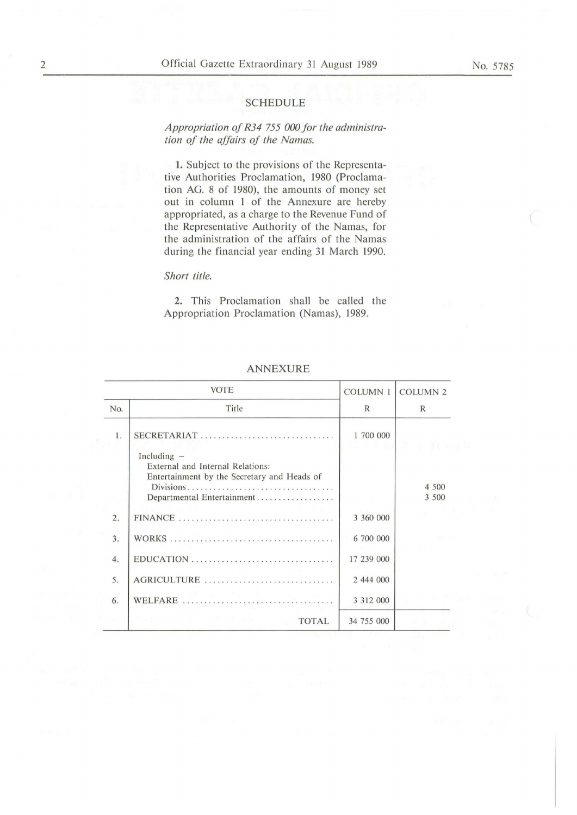#### **SCHEDULE**

*Appropriation of R34 755 000 for the administration of the affairs of the Namas.* 

1. Subject to the provisions of the Representative Authorities Proclamation, 1980 (Proclamation AG. 8 of 1980), the amounts of money set out in column 1 of the Annexure are hereby appropriated, as a charge to the Revenue Fund of the Representative Authority of the Namas, for the administration of the affairs of the Namas during the financial year ending 31 March 1990.

#### *Short title.*

**2.** This Proclamation shall be called the Appropriation Proclamation (Namas), 1989.

| <b>VOTE</b>      |                                                                                                                   | <b>COLUMN1</b> | <b>COLUMN 2</b> |
|------------------|-------------------------------------------------------------------------------------------------------------------|----------------|-----------------|
| No.              | Title                                                                                                             | $\mathbb{R}$   | $\mathbb{R}$    |
| 1.               | $SECRETARIAT$<br>Including $-$<br>External and Internal Relations:<br>Entertainment by the Secretary and Heads of | 1 700 000      |                 |
|                  | Departmental Entertainment                                                                                        |                | 4 500<br>3 500  |
| $\overline{2}$ . |                                                                                                                   | 3 360 000      |                 |
| 3.               |                                                                                                                   | 6 700 000      |                 |
| 4.               |                                                                                                                   | 17 239 000     |                 |
| 5.               | AGRICULTURE                                                                                                       | 2 444 000      |                 |
| 6.               |                                                                                                                   | 3 3 1 2 0 0 0  |                 |
|                  | <b>TOTAL</b>                                                                                                      | 34 755 000     |                 |

#### **ANNEXURE**